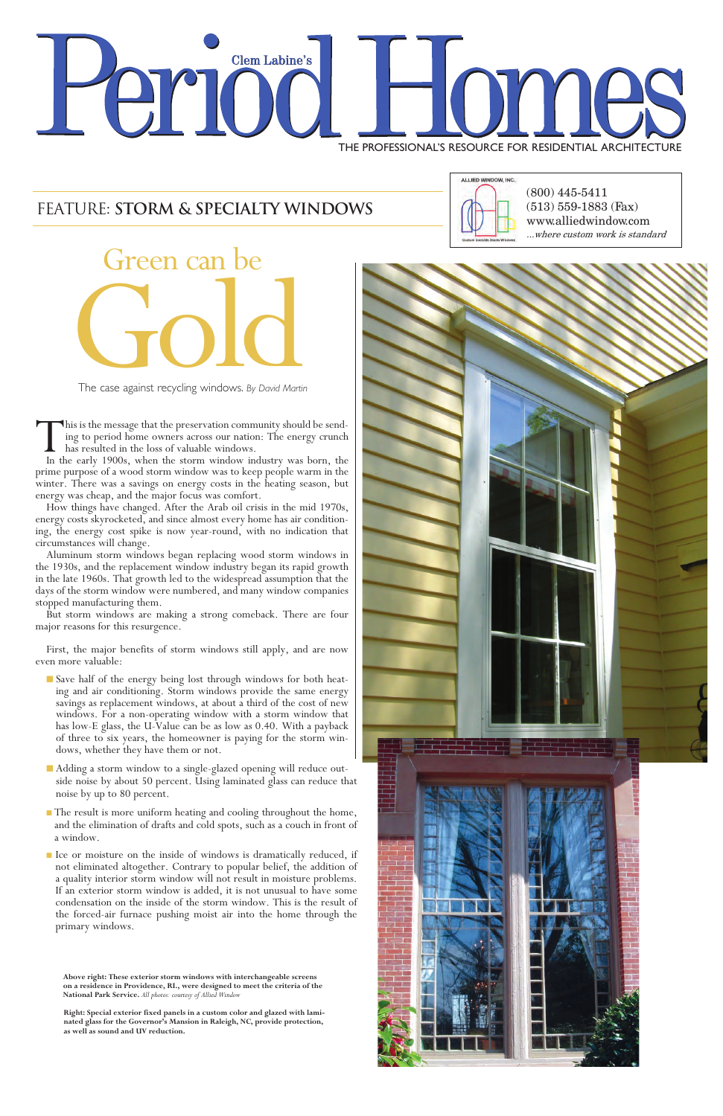# **Clem Labine's** THE PROFESSIONAL'S RESOURCE FOR RESIDENTIAL ARCHITECTURE

(800) 445-5411 (513) 559-1883 (Fax) www.alliedwindow.com ...where custom work is standard



The case against recycling windows. *By David Martin*

This is the message that the preservation community should be send-<br>ing to period home owners across our nation: The energy crunch<br>has resulted in the loss of valuable windows.<br>In the early 1900s, when the storm window ind has resulted in the loss of valuable windows.

# FEATURE: **STORM & SPECIALTY WINDOWS**



prime purpose of a wood storm window was to keep people warm in the winter. There was a savings on energy costs in the heating season, but energy was cheap, and the major focus was comfort.

How things have changed. After the Arab oil crisis in the mid 1970s, energy costs skyrocketed, and since almost every home has air condition- ing, the energy cost spike is now year-round, with no indication that circumstances will change.

Aluminum storm windows began replacing wood storm windows in the 1930s, and the replacement window industry began its rapid growth in the late 1960s. That growth led to the widespread assumption that the days of the storm window were numbered, and many window companies stopped manufacturing them.

But storm windows are making a strong comeback. There are four major reasons for this resurgence.

First, the major benefits of storm windows still apply, and are now even more valuable:

- Save half of the energy being lost through windows for both heating and air conditioning. Storm windows provide the same energy savings as replacement windows, at about a third of the cost of new windows. For a non-operating window with a storm window that has low-E glass, the U-Value can be as low as 0.40. With a payback of three to six years, the homeowner is paying for the storm windows, whether they have them or not.
- n Adding a storm window to a single-glazed opening will reduce outside noise by about 50 percent. Using laminated glass can reduce that noise by up to 80 percent.
- The result is more uniform heating and cooling throughout the home,



and the elimination of drafts and cold spots, such as a couch in front of a window.

<sup>n</sup> Ice or moisture on the inside of windows is dramatically reduced, if not eliminated altogether. Contrary to popular belief, the addition of a quality interior storm window will not result in moisture problems. If an exterior storm window is added, it is not unusual to have some condensation on the inside of the storm window. This is the result of the forced-air furnace pushing moist air into the home through the primary windows.

**Above right: These exterior storm windows with interchangeable screens on a residence in Providence, RI., were designed to meet the criteria of the National Park Service.** *All photos: courtesy of Allied Window*

**Right: Special exterior fixed panels in a custom color and glazed with laminated glass for the Governor's Mansion in Raleigh, NC, provide protection, as well as sound and UV reduction.**